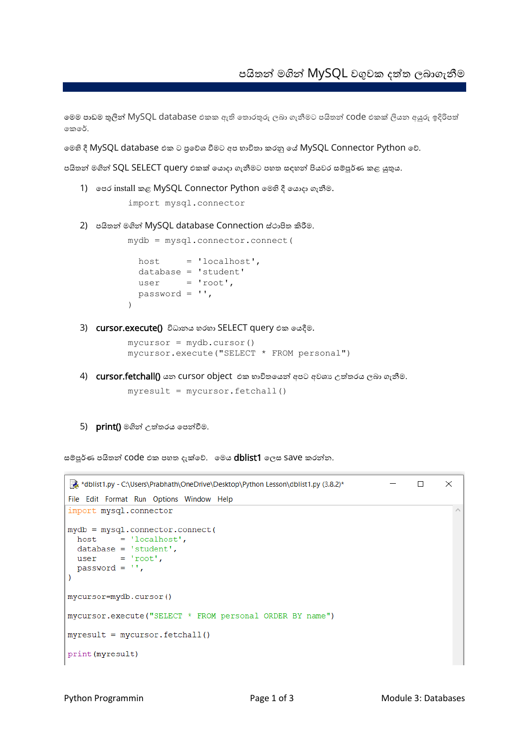මමම පාඩම තුලින් MySQL database එකක ඇති මතාරතුරු ලබා ගැනීමට පයිතන් code එකක් ලියන අයුරු ඉදිරිපත් මකමේ.

මමහි දී MySQL database එක ට ප්රමේශ වීමට අප භාවිතා කරනු මේ MySQL Connector Python මේ.

පයිතන් මගින් SQL SELECT query එකක් මයාදා ගැනීමට පහත සඳහන් පියවර සම්පූේණ කළ යුතුය.

1) මපර install කළ MySQL Connector Python මමහි දී මයාදා ගැනීම.

import mysql.connector

2) පයිතන් මගින් MySQL database Connection ස්ථාපිත කිරීම.

```
mydb = mysql.connector.connect(
 host = 'localhost',
  database = 'student'
 user = 'root',
  password = '', 
)
```
3) cursor.execute() විධානය හරහා SELECT query එක මයදීම.

```
mycursor = mydb.cursor()
mycursor.execute("SELECT * FROM personal")
```
4) cursor.fetchall() යන cursor object එක භාවිතයෙන් අපට අවශා උත්තරය ලබා ගැනීම.

 $myresult = mycursor.fetchall()$ 

5) print() මගින් උත්තරය මපන්වීම.

සම්පූර්ණ පයිතන් COde එක පහත දැක්වේ. මෙය dblist1 ලෙස Save කරන්න.

```
\Boxat *dblist1.pv - C:\Users\Prabhath\OneDrive\Desktop\Pvthon Lesson\dblist1.pv (3.8.2)*
                                                                                       \timesFile Edit Format Run Options Window Help
import mysql.connector
mydb = mysql.connector.connect(
 host = 'localhost',database = 'student',= 'root',
  user
  password = "\lambdamycursor=mydb.cursor()
mycursor.execute("SELECT * FROM personal ORDER BY name")
myresult = mycursor.fetchall()print (myresult)
```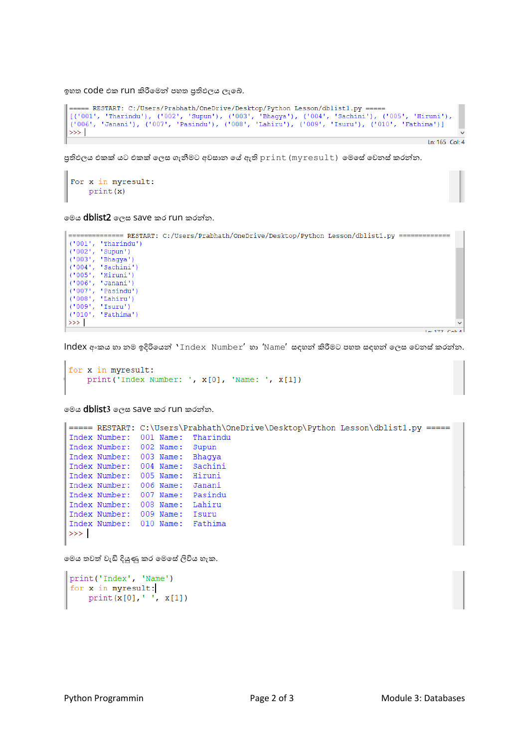ඉහත COde එක run කිරීමෙන් පහත පුතිඵලය ලැබේ.

```
===== RESTART: C:/Users/Prabhath/OneDrive/Desktop/Python Lesson/dblist1.py =====
[(1001', 'Tharindu'), (1002', 'Supun'), (1003', 'Bhagya'), (1004', 'Sachini'), (1005', 'Hiruni'),<br>(1006', 'Janani'), (1007', 'Pasindu'), (1008', 'Lahiru'), (1009', 'Isuru'), (1010', 'Fathima')]
\ggLn: 165 Col: 4
```
පුතිඵලය එකක් යට එකක් ලෙස ගැනීමට අවසාන යේ ඇති print (myresult) මෙසේ වෙනස් කරන්න.

```
For x in myresult:
   print(x)
```
මමය dblist2 මලස save කර run කරන්න.

```
============== RESTART: C:/Users/Prabhath/OneDrive/Desktop/Python Lesson/dblist1.pv ==============
('001', 'Tharindu')<br>('002', 'Supun')<br>('003', 'Bhagya')
('003', 'Bhagya')<br>('004', 'Sachini')<br>('005', 'Hiruni')<br>('006', 'Janani')<br>('007', 'Pasindu')<br>('008', 'Lahiru')<br>('009', 'Isuru')
('010', 'Fathima')\gg1 - 477 C-1-4
```
Index අංකය හා නම ඉදිරිමයන් 'Index Number' හා 'Name' සඳහන් කිරීමට පහත සඳහන් මලස මවනස්කරන්න.

```
for x in myresult:
    print ('Index Number: ', x[0], 'Name: ', x[1])
```
මමය dblist**3** මලස save කර run කරන්න.

```
===== RESTART: C:\Users\Prabhath\OneDrive\Desktop\Python Lesson\dblist1.py =====
Index Number: 001 Name: Tharindu
Index Number: 002 Name: Supun
Index Number: 003 Name: Bhaqya
Index Number: 004 Name: Sachini
Index Number: 005 Name: Hiruni
Index Number: 006 Name: Janani
Index Number: 007 Name: Pasindu
Index Number: 008 Name: Lahiru<br>Index Number: 009 Name: Isuru<br>Index Number: 010 Name: Fathima
>>
```
මමය තවත් වැඩි දියුණු කර මමමස්ලිවිය හැක.

```
print ('Index', 'Name')
for x in myresult:
    print(x[0], ' ', x[1])
```